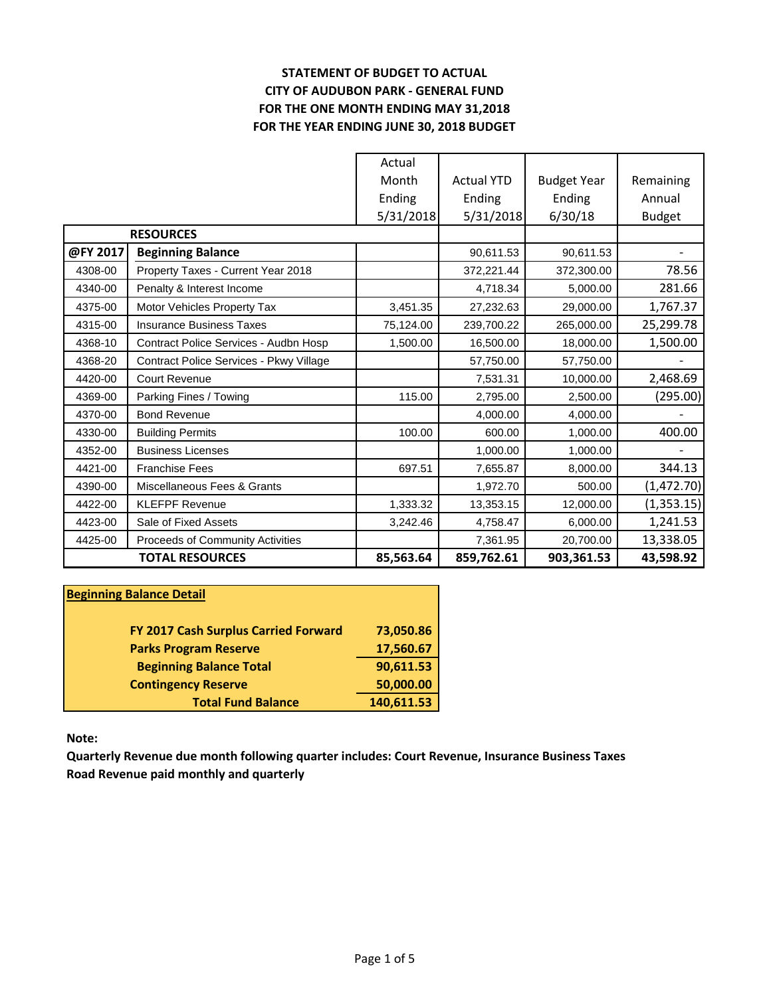# **STATEMENT OF BUDGET TO ACTUAL CITY OF AUDUBON PARK - GENERAL FUND FOR THE ONE MONTH ENDING MAY 31,2018 FOR THE YEAR ENDING JUNE 30, 2018 BUDGET**

|          |                                         | Actual    |                   |                    |               |
|----------|-----------------------------------------|-----------|-------------------|--------------------|---------------|
|          |                                         | Month     | <b>Actual YTD</b> | <b>Budget Year</b> | Remaining     |
|          |                                         | Ending    | Ending            | Ending             | Annual        |
|          |                                         | 5/31/2018 | 5/31/2018         | 6/30/18            | <b>Budget</b> |
|          | <b>RESOURCES</b>                        |           |                   |                    |               |
| @FY 2017 | <b>Beginning Balance</b>                |           | 90,611.53         | 90,611.53          |               |
| 4308-00  | Property Taxes - Current Year 2018      |           | 372,221.44        | 372,300.00         | 78.56         |
| 4340-00  | Penalty & Interest Income               |           | 4,718.34          | 5,000.00           | 281.66        |
| 4375-00  | Motor Vehicles Property Tax             | 3,451.35  | 27,232.63         | 29,000.00          | 1,767.37      |
| 4315-00  | <b>Insurance Business Taxes</b>         | 75,124.00 | 239,700.22        | 265,000.00         | 25,299.78     |
| 4368-10  | Contract Police Services - Audbn Hosp   | 1,500.00  | 16,500.00         | 18,000.00          | 1,500.00      |
| 4368-20  | Contract Police Services - Pkwy Village |           | 57,750.00         | 57,750.00          |               |
| 4420-00  | <b>Court Revenue</b>                    |           | 7,531.31          | 10,000.00          | 2,468.69      |
| 4369-00  | Parking Fines / Towing                  | 115.00    | 2,795.00          | 2,500.00           | (295.00)      |
| 4370-00  | <b>Bond Revenue</b>                     |           | 4,000.00          | 4,000.00           |               |
| 4330-00  | <b>Building Permits</b>                 | 100.00    | 600.00            | 1,000.00           | 400.00        |
| 4352-00  | <b>Business Licenses</b>                |           | 1,000.00          | 1,000.00           |               |
| 4421-00  | <b>Franchise Fees</b>                   | 697.51    | 7,655.87          | 8,000.00           | 344.13        |
| 4390-00  | Miscellaneous Fees & Grants             |           | 1,972.70          | 500.00             | (1,472.70)    |
| 4422-00  | <b>KLEFPF Revenue</b>                   | 1,333.32  | 13,353.15         | 12,000.00          | (1,353.15)    |
| 4423-00  | Sale of Fixed Assets                    | 3,242.46  | 4,758.47          | 6,000.00           | 1,241.53      |
| 4425-00  | Proceeds of Community Activities        |           | 7,361.95          | 20,700.00          | 13,338.05     |
|          | <b>TOTAL RESOURCES</b>                  | 85,563.64 | 859,762.61        | 903,361.53         | 43,598.92     |

| <b>Beginning Balance Detail</b>      |            |
|--------------------------------------|------------|
| FY 2017 Cash Surplus Carried Forward | 73,050.86  |
| <b>Parks Program Reserve</b>         | 17,560.67  |
| <b>Beginning Balance Total</b>       | 90,611.53  |
| <b>Contingency Reserve</b>           | 50,000.00  |
| <b>Total Fund Balance</b>            | 140,611.53 |

**Note:**

**Quarterly Revenue due month following quarter includes: Court Revenue, Insurance Business Taxes Road Revenue paid monthly and quarterly**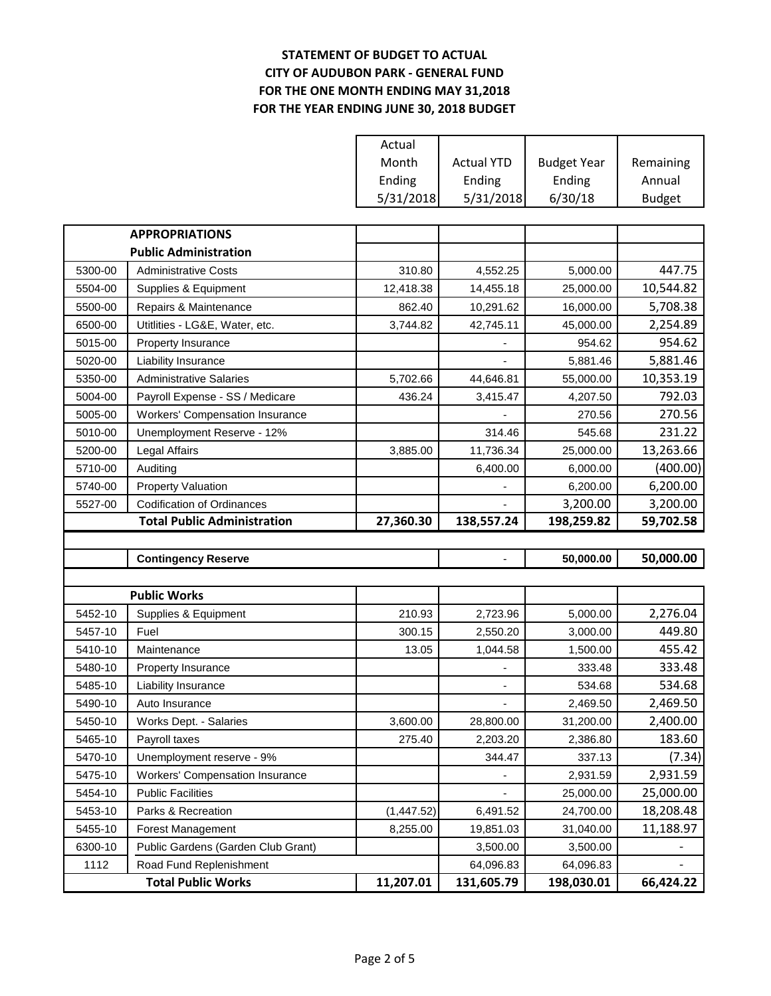# **STATEMENT OF BUDGET TO ACTUAL CITY OF AUDUBON PARK - GENERAL FUND FOR THE ONE MONTH ENDING MAY 31,2018 FOR THE YEAR ENDING JUNE 30, 2018 BUDGET**

|         |                                        | Actual      |                   |                    |               |
|---------|----------------------------------------|-------------|-------------------|--------------------|---------------|
|         |                                        | Month       | <b>Actual YTD</b> | <b>Budget Year</b> | Remaining     |
|         |                                        | Ending      | Ending            | Ending             | Annual        |
|         |                                        | 5/31/2018   | 5/31/2018         | 6/30/18            | <b>Budget</b> |
|         |                                        |             |                   |                    |               |
|         | <b>APPROPRIATIONS</b>                  |             |                   |                    |               |
|         | <b>Public Administration</b>           |             |                   |                    |               |
| 5300-00 | <b>Administrative Costs</b>            | 310.80      | 4,552.25          | 5,000.00           | 447.75        |
| 5504-00 | Supplies & Equipment                   | 12,418.38   | 14,455.18         | 25,000.00          | 10,544.82     |
| 5500-00 | Repairs & Maintenance                  | 862.40      | 10,291.62         | 16,000.00          | 5,708.38      |
| 6500-00 | Utitlities - LG&E, Water, etc.         | 3,744.82    | 42,745.11         | 45,000.00          | 2,254.89      |
| 5015-00 | Property Insurance                     |             |                   | 954.62             | 954.62        |
| 5020-00 | Liability Insurance                    |             |                   | 5,881.46           | 5,881.46      |
| 5350-00 | <b>Administrative Salaries</b>         | 5,702.66    | 44,646.81         | 55,000.00          | 10,353.19     |
| 5004-00 | Payroll Expense - SS / Medicare        | 436.24      | 3,415.47          | 4,207.50           | 792.03        |
| 5005-00 | <b>Workers' Compensation Insurance</b> |             |                   | 270.56             | 270.56        |
| 5010-00 | Unemployment Reserve - 12%             |             | 314.46            | 545.68             | 231.22        |
| 5200-00 | Legal Affairs                          | 3,885.00    | 11,736.34         | 25,000.00          | 13,263.66     |
| 5710-00 | Auditing                               |             | 6,400.00          | 6,000.00           | (400.00)      |
| 5740-00 | <b>Property Valuation</b>              |             |                   | 6,200.00           | 6,200.00      |
| 5527-00 | <b>Codification of Ordinances</b>      |             |                   | 3,200.00           | 3,200.00      |
|         |                                        |             |                   |                    |               |
|         | <b>Total Public Administration</b>     | 27,360.30   | 138,557.24        | 198,259.82         | 59,702.58     |
|         |                                        |             |                   |                    |               |
|         | <b>Contingency Reserve</b>             |             | ۰                 | 50,000.00          | 50,000.00     |
|         |                                        |             |                   |                    |               |
|         | <b>Public Works</b>                    |             |                   |                    |               |
| 5452-10 | Supplies & Equipment                   | 210.93      | 2,723.96          | 5,000.00           | 2,276.04      |
| 5457-10 | Fuel                                   | 300.15      | 2,550.20          | 3,000.00           | 449.80        |
| 5410-10 | Maintenance                            | 13.05       | 1,044.58          | 1,500.00           | 455.42        |
| 5480-10 | Property Insurance                     |             |                   | 333.48             | 333.48        |
| 5485-10 | Liability Insurance                    |             |                   | 534.68             | 534.68        |
| 5490-10 | Auto Insurance                         |             |                   | 2,469.50           | 2,469.50      |
| 5450-10 | Works Dept. - Salaries                 | 3,600.00    | 28,800.00         | 31,200.00          | 2,400.00      |
| 5465-10 | Payroll taxes                          | 275.40      | 2,203.20          | 2,386.80           | 183.60        |
| 5470-10 | Unemployment reserve - 9%              |             | 344.47            | 337.13             | (7.34)        |
| 5475-10 | <b>Workers' Compensation Insurance</b> |             |                   | 2,931.59           | 2,931.59      |
| 5454-10 | <b>Public Facilities</b>               |             |                   | 25,000.00          | 25,000.00     |
| 5453-10 | Parks & Recreation                     | (1, 447.52) | 6,491.52          | 24,700.00          | 18,208.48     |
| 5455-10 | <b>Forest Management</b>               | 8,255.00    | 19,851.03         | 31,040.00          | 11,188.97     |
| 6300-10 | Public Gardens (Garden Club Grant)     |             | 3,500.00          | 3,500.00           |               |
| 1112    | Road Fund Replenishment                |             | 64,096.83         | 64,096.83          |               |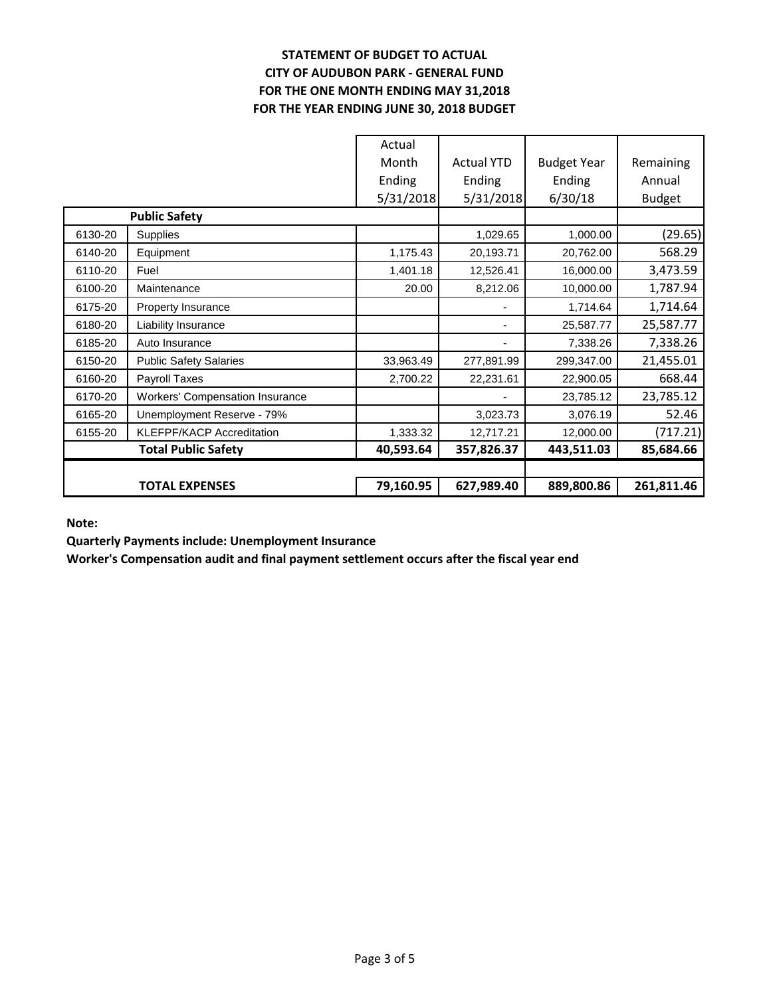# **STATEMENT OF BUDGET TO ACTUAL CITY OF AUDUBON PARK - GENERAL FUND FOR THE ONE MONTH ENDING MAY 31,2018 FOR THE YEAR ENDING JUNE 30, 2018 BUDGET**

|         |                                        | Actual    |                   |                    |               |
|---------|----------------------------------------|-----------|-------------------|--------------------|---------------|
|         |                                        | Month     | <b>Actual YTD</b> | <b>Budget Year</b> | Remaining     |
|         |                                        | Ending    | Ending            | Ending             | Annual        |
|         |                                        | 5/31/2018 | 5/31/2018         | 6/30/18            | <b>Budget</b> |
|         | <b>Public Safety</b>                   |           |                   |                    |               |
| 6130-20 | Supplies                               |           | 1,029.65          | 1,000.00           | (29.65)       |
| 6140-20 | Equipment                              | 1,175.43  | 20,193.71         | 20,762.00          | 568.29        |
| 6110-20 | Fuel                                   | 1,401.18  | 12,526.41         | 16,000.00          | 3,473.59      |
| 6100-20 | Maintenance                            | 20.00     | 8,212.06          | 10,000.00          | 1,787.94      |
| 6175-20 | Property Insurance                     |           |                   | 1,714.64           | 1,714.64      |
| 6180-20 | Liability Insurance                    |           |                   | 25,587.77          | 25,587.77     |
| 6185-20 | Auto Insurance                         |           |                   | 7,338.26           | 7,338.26      |
| 6150-20 | <b>Public Safety Salaries</b>          | 33,963.49 | 277,891.99        | 299,347.00         | 21,455.01     |
| 6160-20 | Payroll Taxes                          | 2,700.22  | 22,231.61         | 22,900.05          | 668.44        |
| 6170-20 | <b>Workers' Compensation Insurance</b> |           |                   | 23,785.12          | 23,785.12     |
| 6165-20 | Unemployment Reserve - 79%             |           | 3,023.73          | 3,076.19           | 52.46         |
| 6155-20 | <b>KLEFPF/KACP Accreditation</b>       | 1,333.32  | 12,717.21         | 12,000.00          | (717.21)      |
|         | <b>Total Public Safety</b>             | 40,593.64 | 357,826.37        | 443,511.03         | 85,684.66     |
|         |                                        |           |                   |                    |               |
|         | <b>TOTAL EXPENSES</b>                  | 79,160.95 | 627,989.40        | 889,800.86         | 261,811.46    |

**Note:**

**Quarterly Payments include: Unemployment Insurance**

**Worker's Compensation audit and final payment settlement occurs after the fiscal year end**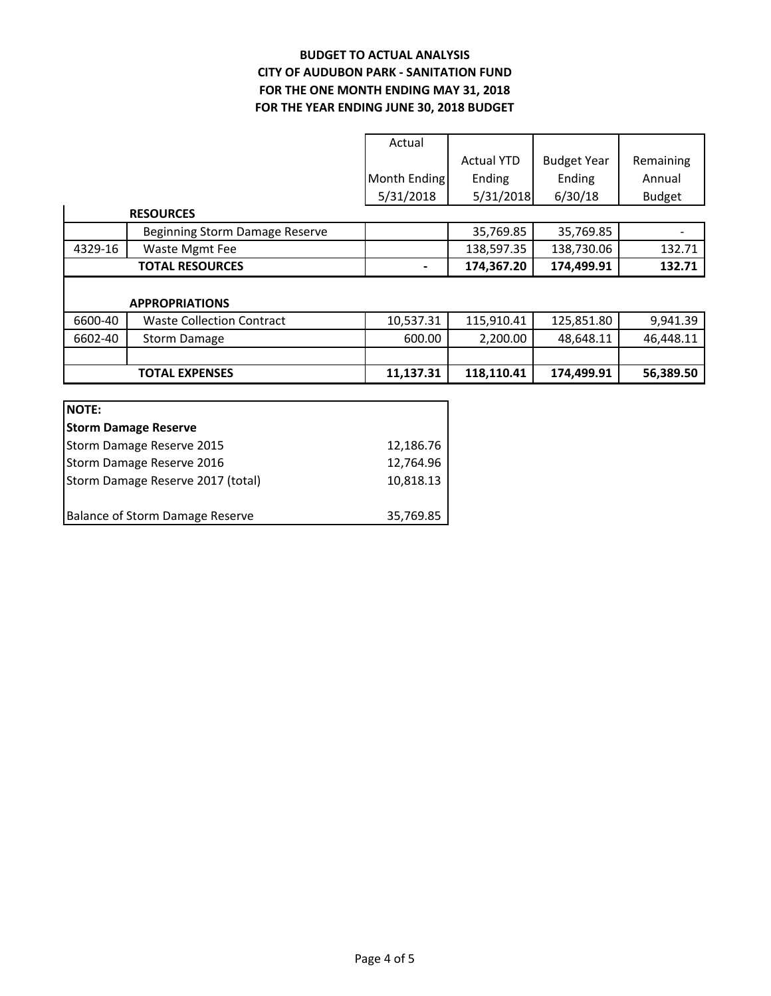#### **BUDGET TO ACTUAL ANALYSIS CITY OF AUDUBON PARK - SANITATION FUND FOR THE YEAR ENDING JUNE 30, 2018 BUDGET FOR THE ONE MONTH ENDING MAY 31, 2018**

| Actual       |                   |                    |               |
|--------------|-------------------|--------------------|---------------|
|              | <b>Actual YTD</b> | <b>Budget Year</b> | Remaining     |
| Month Ending | Ending            | Ending             | Annual        |
| 5/31/2018    | 5/31/2018         | 6/30/18            | <b>Budget</b> |

|         | <b>RESOURCES</b>                 |                |            |            |           |
|---------|----------------------------------|----------------|------------|------------|-----------|
|         | Beginning Storm Damage Reserve   |                | 35,769.85  | 35,769.85  |           |
| 4329-16 | Waste Mgmt Fee                   |                | 138,597.35 | 138,730.06 | 132.71    |
|         | <b>TOTAL RESOURCES</b>           | $\blacksquare$ | 174,367.20 | 174,499.91 | 132.71    |
|         |                                  |                |            |            |           |
|         | <b>APPROPRIATIONS</b>            |                |            |            |           |
| 6600-40 | <b>Waste Collection Contract</b> | 10,537.31      | 115,910.41 | 125,851.80 | 9,941.39  |
| 6602-40 | <b>Storm Damage</b>              | 600.00         | 2,200.00   | 48,648.11  | 46,448.11 |
|         |                                  |                |            |            |           |

**TOTAL EXPENSES** 11,137.31 118,110.41 174,499.91 56,389.50

| <b>NOTE:</b>                      |           |
|-----------------------------------|-----------|
| <b>Storm Damage Reserve</b>       |           |
| Storm Damage Reserve 2015         | 12,186.76 |
| Storm Damage Reserve 2016         | 12,764.96 |
| Storm Damage Reserve 2017 (total) | 10,818.13 |
|                                   |           |
| Balance of Storm Damage Reserve   | 35,769.85 |